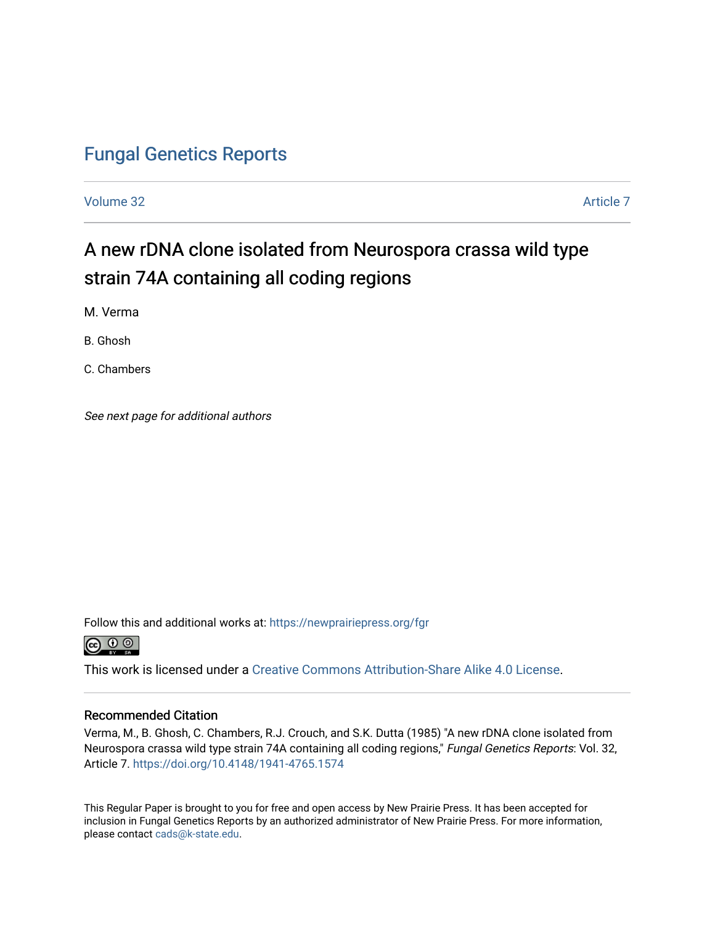## [Fungal Genetics Reports](https://newprairiepress.org/fgr)

[Volume 32](https://newprairiepress.org/fgr/vol32) Article 7

# A new rDNA clone isolated from Neurospora crassa wild type strain 74A containing all coding regions

M. Verma

B. Ghosh

C. Chambers

See next page for additional authors

Follow this and additional works at: [https://newprairiepress.org/fgr](https://newprairiepress.org/fgr?utm_source=newprairiepress.org%2Ffgr%2Fvol32%2Fiss1%2F7&utm_medium=PDF&utm_campaign=PDFCoverPages) 



This work is licensed under a [Creative Commons Attribution-Share Alike 4.0 License.](https://creativecommons.org/licenses/by-sa/4.0/)

#### Recommended Citation

Verma, M., B. Ghosh, C. Chambers, R.J. Crouch, and S.K. Dutta (1985) "A new rDNA clone isolated from Neurospora crassa wild type strain 74A containing all coding regions," Fungal Genetics Reports: Vol. 32, Article 7. <https://doi.org/10.4148/1941-4765.1574>

This Regular Paper is brought to you for free and open access by New Prairie Press. It has been accepted for inclusion in Fungal Genetics Reports by an authorized administrator of New Prairie Press. For more information, please contact [cads@k-state.edu.](mailto:cads@k-state.edu)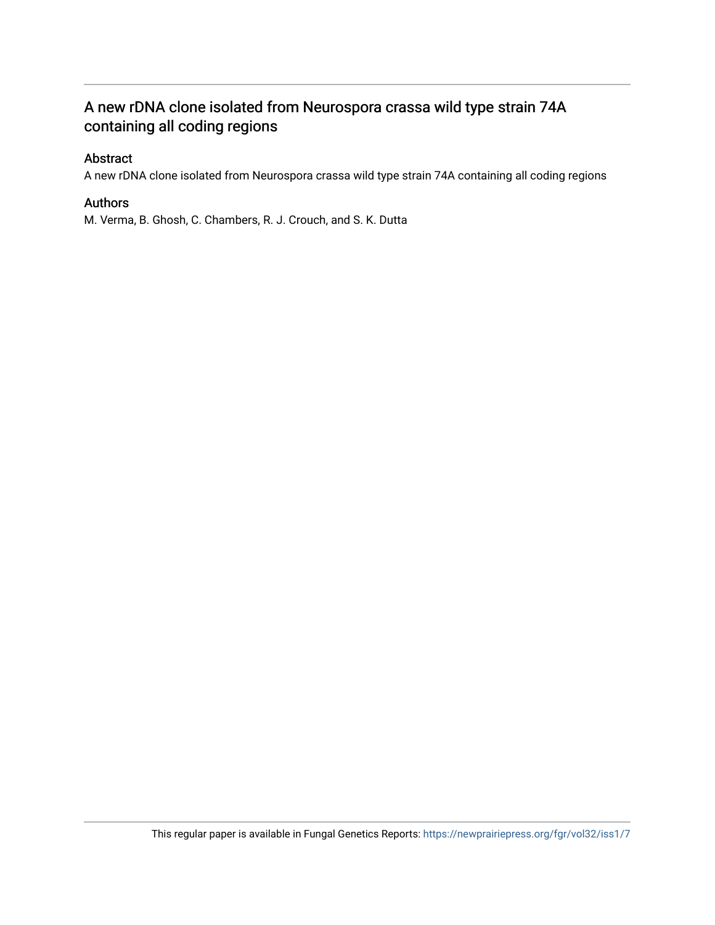## A new rDNA clone isolated from Neurospora crassa wild type strain 74A containing all coding regions

#### Abstract

A new rDNA clone isolated from Neurospora crassa wild type strain 74A containing all coding regions

### Authors

M. Verma, B. Ghosh, C. Chambers, R. J. Crouch, and S. K. Dutta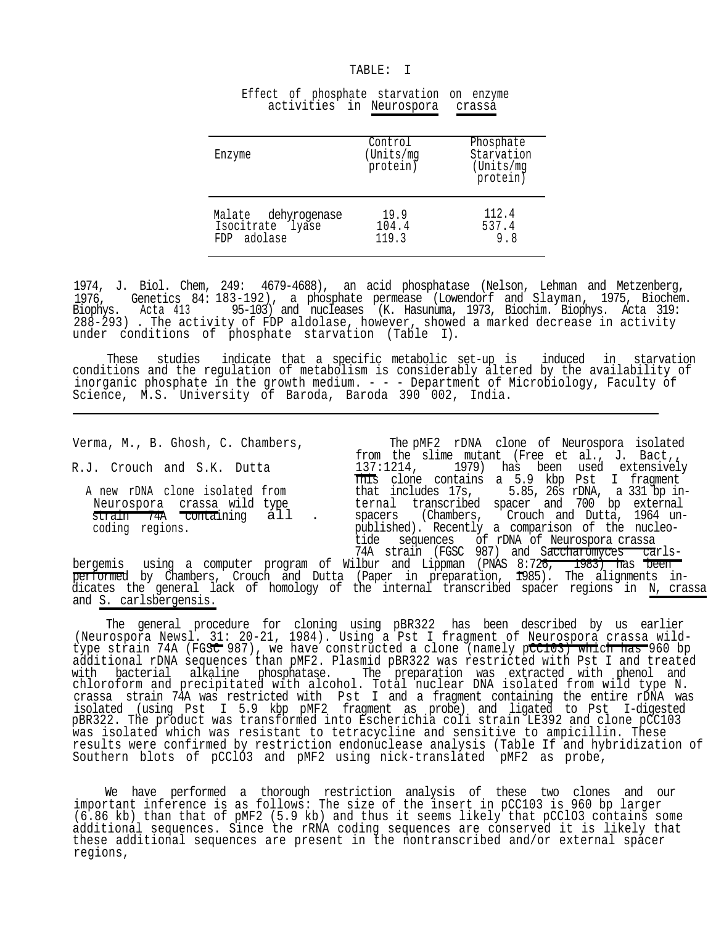Verma, M., B. Ghosh, C. Chambers, The pMF2 rDNA clone of Neurospora isolated

R.J. Crouch and S.K. Dutta 137:1214, 1979) has been used extensively. This clone contains a 5.9 kbp Pst I fragment A new rDNA clone isolated from that includes 17s, 5.85, 26s rDNA, a 331 bp in-<br>Neurospora crassa wild type ternal transcribed spacer and 700 bp external Neurospora crassa wild type<br>
Strain 74A containing all . spacers (Chambers, Crouch and Dutta, 1964 unstrain 74A containing all . spacers (Chambers, Crouch and Dutta, 1964 unpublished). Recently a comparison of the nucleotide sequences of rDNA of Neurospora crassa 74A strain (FGSC 987) and Saccharomyces carlsbergemis using a computer program of Wilbur and Lippman (PNAS 8:726, 1983) has been performed by Chambers, Crouch and Dutta (Paper in preparation, 1985). The alignments indicates the general lack of homology of the internal transcribed spacer regions in N, crassa and S. carlsbergensis.

from the slime mutant (Free et al., J. Bact,,

The general procedure for cloning using pBR322 has been described by us earlier (Neurospora Newsl. 31: 20-21, 1984). Using a Pst I fragment of Neurospora crassa wildtype strain 74A (FGSC 987), we have constructed a clone (namely pCC103) which has 960 bp additional rDNA sequences than pMF2. Plasmid pBR322 was restricted with Pst I and treated with bacterial alkaline phosphatase. The preparation was extracted with phenol and chloroform and precipitated with alcohol. Total nuclear DNA isolated from wild type N. crassa strain 74A was restricted with Pst I and a fragment containing the entire rDNA was isolated (using Pst I 5.9 kbp pMF2 fragment as probe) and ligated to Pst I-digested pBR322. The product was transformed into Escherichia coli strain LE392 and clone pCC103 was isolated which was resistant to tetracycline and sensitive to ampicillin. These results were confirmed by restriction endonuclease analysis (Table If and hybridization of Southern blots of pCClO3 and pMF2 using nick-translated pMF2 as probe,

We have performed a thorough restriction analysis of these two clones and our important inference is as follows: The size of the insert in pCC103 is 960 bp larger (6.86 kb) than that of pMF2 (5.9 kb) and thus it seems likely that pCClO3 contains some additional sequences. Since the rRNA coding sequences are conserved it is likely that these additional sequences are present in the nontranscribed and/or external spacer regions,